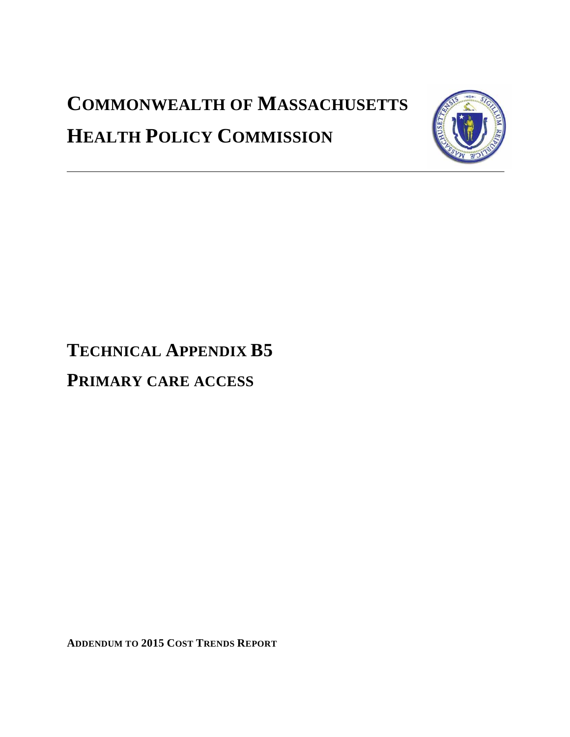# **COMMONWEALTH OF MASSACHUSETTS HEALTH POLICY COMMISSION**



# **TECHNICAL APPENDIX B5**

## **PRIMARY CARE ACCESS**

**ADDENDUM TO 2015 COST TRENDS REPORT**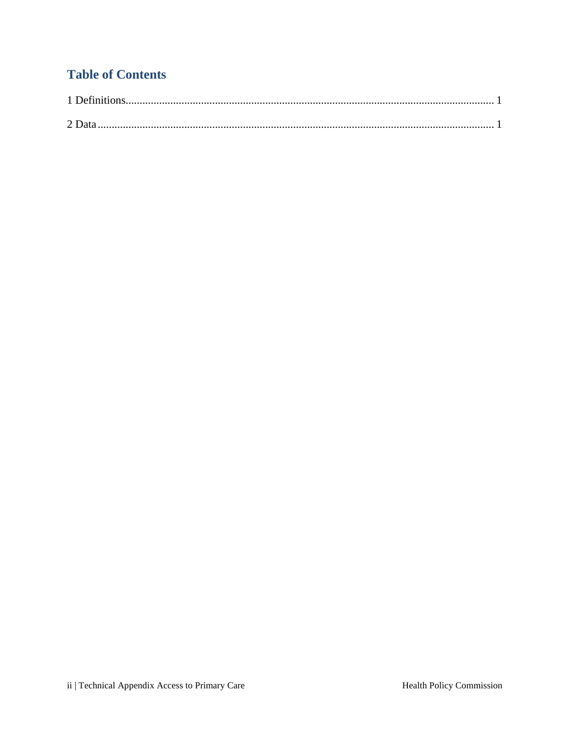## **Table of Contents**